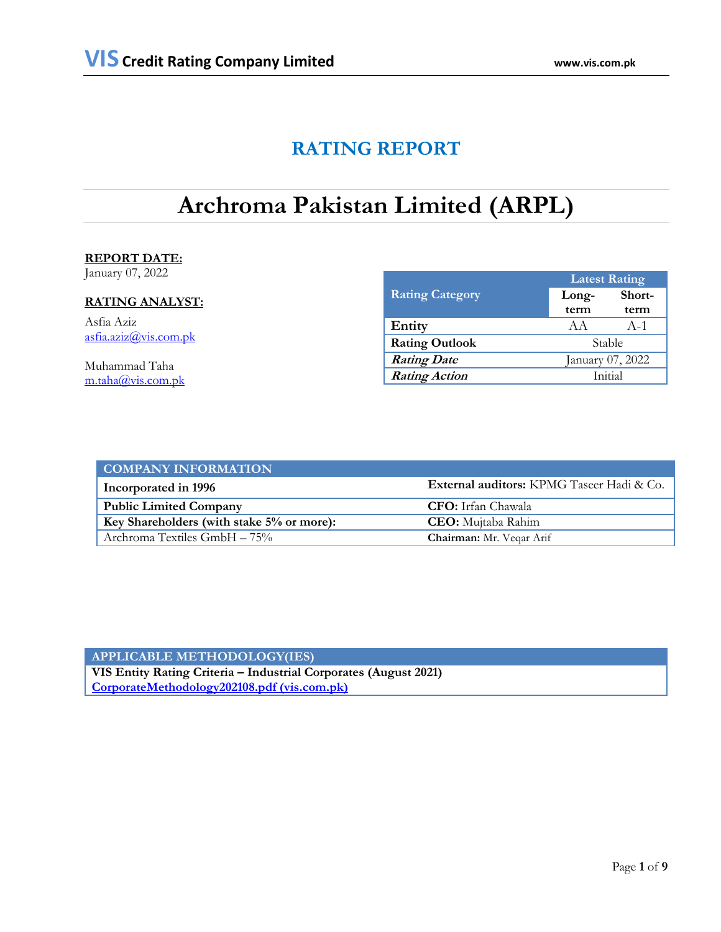# **RATING REPORT**

# **Archroma Pakistan Limited (ARPL)**

### **REPORT DATE:**

January 07, 2022

## **RATING ANALYST:**

Asfia Aziz [asfia.aziz@vis.com.pk](mailto:asfia.aziz@vis.com.pk)

Muhammad Taha [m.taha@vis.com.pk](mailto:m.taha@vis.com.pk)

|                        | <b>Latest Rating</b> |        |  |
|------------------------|----------------------|--------|--|
| <b>Rating Category</b> | Long-                | Short- |  |
|                        | term                 | term   |  |
| Entity                 | A A                  | $A-1$  |  |
| <b>Rating Outlook</b>  | Stable               |        |  |
| <b>Rating Date</b>     | January 07, 2022     |        |  |
| <b>Rating Action</b>   | Initial              |        |  |

| <b>COMPANY INFORMATION</b>                |                                                  |
|-------------------------------------------|--------------------------------------------------|
| Incorporated in 1996                      | <b>External auditors:</b> KPMG Taseer Hadi & Co. |
| <b>Public Limited Company</b>             | <b>CFO:</b> Irfan Chawala                        |
| Key Shareholders (with stake 5% or more): | <b>CEO</b> : Mujtaba Rahim                       |
| Archroma Textiles GmbH – 75%              | Chairman: Mr. Veqar Arif                         |

**APPLICABLE METHODOLOGY(IES) VIS Entity Rating Criteria – Industrial Corporates (August 2021) [CorporateMethodology202108.pdf \(vis.com.pk\)](https://docs.vis.com.pk/docs/CorporateMethodology202108.pdf)**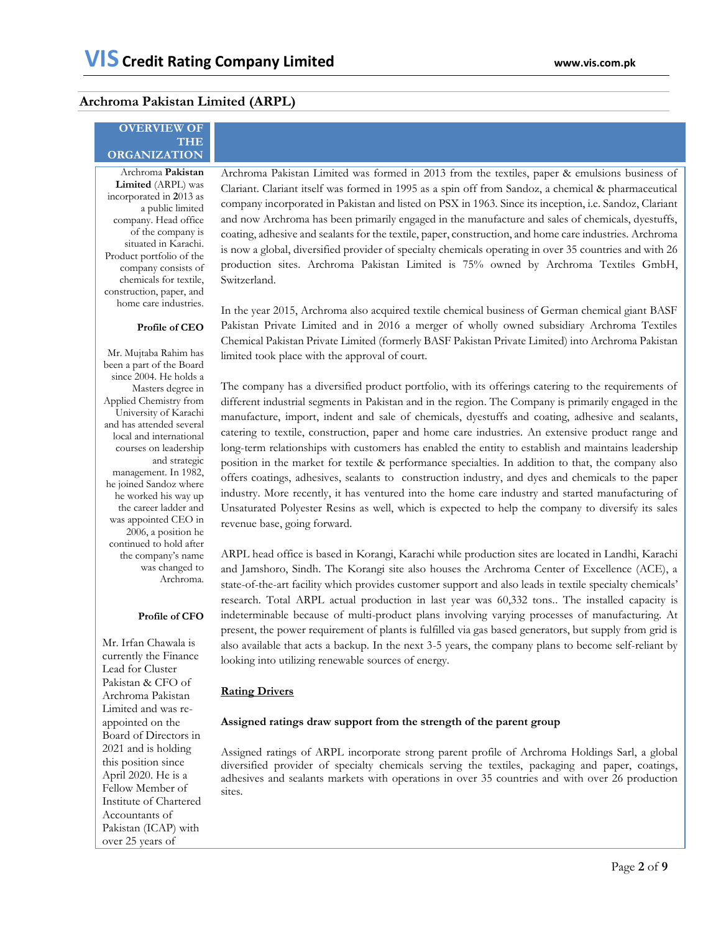### **Archroma Pakistan Limited (ARPL)**

### **OVERVIEW OF THE ORGANIZATION**

Archroma **Pakistan Limited** (ARPL) was incorporated in **2**013 as a public limited company. Head office of the company is situated in Karachi. Product portfolio of the company consists of chemicals for textile, construction, paper, and home care industries. Archroma Pakistan Limited was formed in 2013 from the textiles, paper & emulsions business of Clariant. Clariant itself was formed in 1995 as a spin off from Sandoz, a chemical & pharmaceutical company incorporated in Pakistan and listed on PSX in 1963. Since its inception, i.e. Sandoz, Clariant and now Archroma has been primarily engaged in the manufacture and sales of chemicals, dyestuffs, coating, adhesive and sealants for the textile, paper, construction, and home care industries. Archroma is now a global, diversified provider of specialty chemicals operating in over 35 countries and with 26 production sites. Archroma Pakistan Limited is 75% owned by Archroma Textiles GmbH, Switzerland.

#### **Profile of CEO**

Mr. Mujtaba Rahim has been a part of the Board since 2004. He holds a Masters degree in Applied Chemistry from University of Karachi and has attended several local and international courses on leadership and strategic management. In 1982, he joined Sandoz where he worked his way up the career ladder and was appointed CEO in 2006, a position he continued to hold after the company's name was changed to Archroma.

**Profile of CFO**

Mr. Irfan Chawala is currently the Finance Lead for Cluster Pakistan & CFO of Archroma Pakistan Limited and was reappointed on the Board of Directors in 2021 and is holding this position since April 2020. He is a Fellow Member of Institute of Chartered Accountants of Pakistan (ICAP) with over 25 years of

In the year 2015, Archroma also acquired textile chemical business of German chemical giant BASF Pakistan Private Limited and in 2016 a merger of wholly owned subsidiary Archroma Textiles Chemical Pakistan Private Limited (formerly BASF Pakistan Private Limited) into Archroma Pakistan

The company has a diversified product portfolio, with its offerings catering to the requirements of different industrial segments in Pakistan and in the region. The Company is primarily engaged in the manufacture, import, indent and sale of chemicals, dyestuffs and coating, adhesive and sealants, catering to textile, construction, paper and home care industries. An extensive product range and long-term relationships with customers has enabled the entity to establish and maintains leadership position in the market for textile & performance specialties. In addition to that, the company also offers coatings, adhesives, sealants to construction industry, and dyes and chemicals to the paper industry. More recently, it has ventured into the home care industry and started manufacturing of Unsaturated Polyester Resins as well, which is expected to help the company to diversify its sales revenue base, going forward.

ARPL head office is based in Korangi, Karachi while production sites are located in Landhi, Karachi and Jamshoro, Sindh. The Korangi site also houses the Archroma Center of Excellence (ACE), a state-of-the-art facility which provides customer support and also leads in textile specialty chemicals' research. Total ARPL actual production in last year was 60,332 tons.. The installed capacity is indeterminable because of multi-product plans involving varying processes of manufacturing. At present, the power requirement of plants is fulfilled via gas based generators, but supply from grid is also available that acts a backup. In the next 3-5 years, the company plans to become self-reliant by looking into utilizing renewable sources of energy.

#### **Rating Drivers**

limited took place with the approval of court.

#### **Assigned ratings draw support from the strength of the parent group**

Assigned ratings of ARPL incorporate strong parent profile of Archroma Holdings Sarl, a global diversified provider of specialty chemicals serving the textiles, packaging and paper, coatings, adhesives and sealants markets with operations in over 35 countries and with over 26 production sites.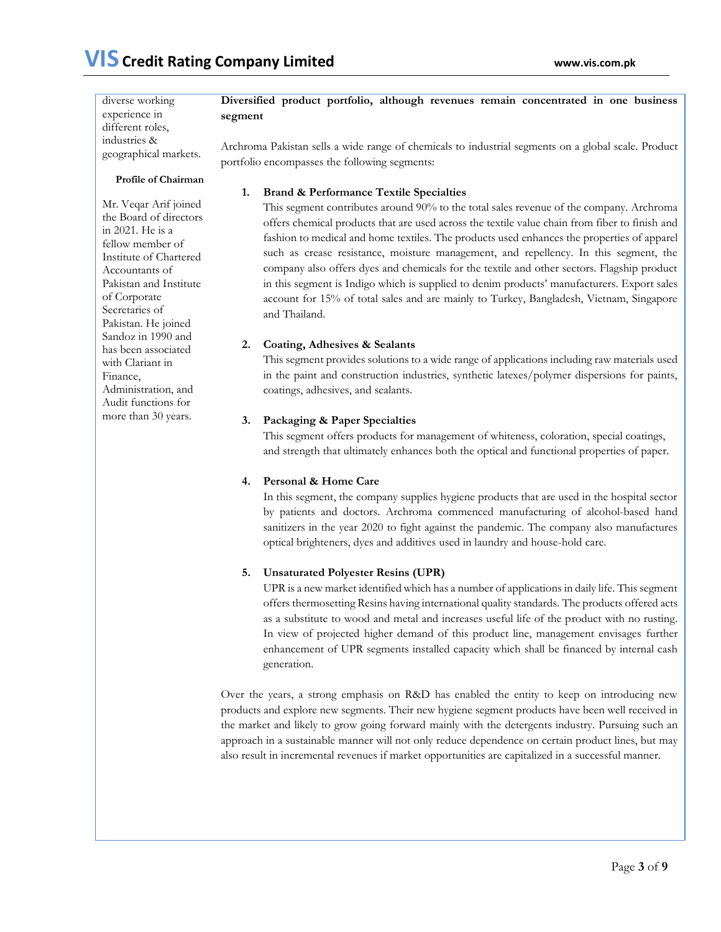diverse working experience in different roles, industries & **Diversified product portfolio, although revenues remain concentrated in one business segment** 

Archroma Pakistan sells a wide range of chemicals to industrial segments on a global scale. Product portfolio encompasses the following segments:

### **Profile of Chairman**

geographical markets.

Mr. Veqar Arif joined the Board of directors in 2021. He is a fellow member of Institute of Chartered Accountants of Pakistan and Institute of Corporate Secretaries of Pakistan. He joined Sandoz in 1990 and has been associated with Clariant in Finance, Administration, and Audit functions for more than 30 years.

### **1. Brand & Performance Textile Specialties**

This segment contributes around 90% to the total sales revenue of the company. Archroma offers chemical products that are used across the textile value chain from fiber to finish and fashion to medical and home textiles. The products used enhances the properties of apparel such as crease resistance, moisture management, and repellency. In this segment, the company also offers dyes and chemicals for the textile and other sectors. Flagship product in this segment is Indigo which is supplied to denim products' manufacturers. Export sales account for 15% of total sales and are mainly to Turkey, Bangladesh, Vietnam, Singapore and Thailand.

### **2. Coating, Adhesives & Sealants**

This segment provides solutions to a wide range of applications including raw materials used in the paint and construction industries, synthetic latexes/polymer dispersions for paints, coatings, adhesives, and sealants.

### **3. Packaging & Paper Specialties**

This segment offers products for management of whiteness, coloration, special coatings, and strength that ultimately enhances both the optical and functional properties of paper.

### **4. Personal & Home Care**

In this segment, the company supplies hygiene products that are used in the hospital sector by patients and doctors. Archroma commenced manufacturing of alcohol-based hand sanitizers in the year 2020 to fight against the pandemic. The company also manufactures optical brighteners, dyes and additives used in laundry and house-hold care.

### **5. Unsaturated Polyester Resins (UPR)**

UPR is a new market identified which has a number of applications in daily life. This segment offers thermosetting Resins having international quality standards. The products offered acts as a substitute to wood and metal and increases useful life of the product with no rusting. In view of projected higher demand of this product line, management envisages further enhancement of UPR segments installed capacity which shall be financed by internal cash generation.

Over the years, a strong emphasis on R&D has enabled the entity to keep on introducing new products and explore new segments. Their new hygiene segment products have been well received in the market and likely to grow going forward mainly with the detergents industry. Pursuing such an approach in a sustainable manner will not only reduce dependence on certain product lines, but may also result in incremental revenues if market opportunities are capitalized in a successful manner.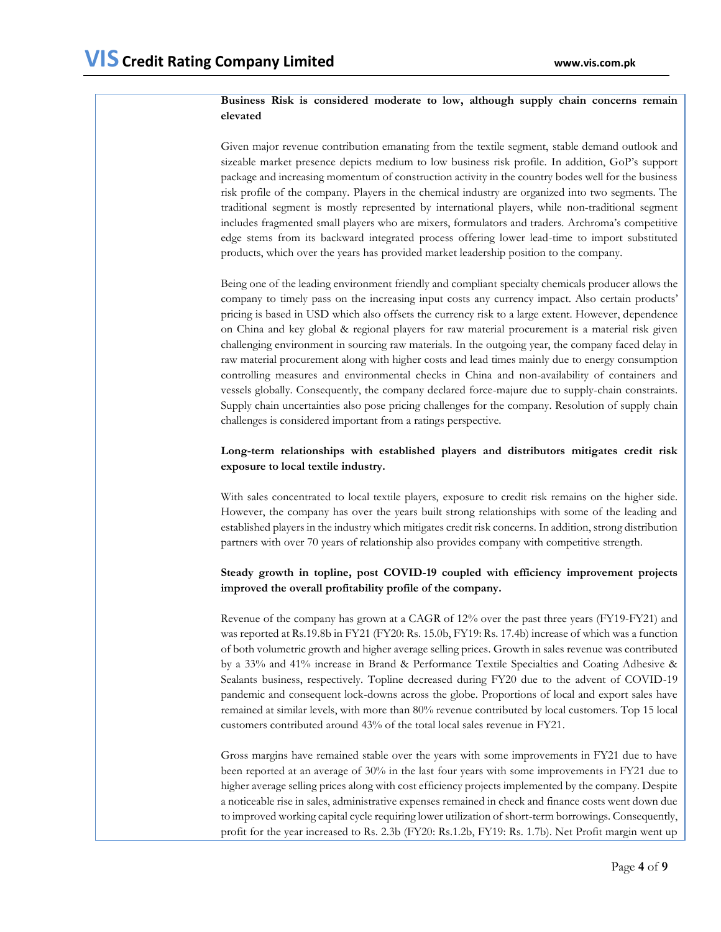### **Business Risk is considered moderate to low, although supply chain concerns remain elevated**

Given major revenue contribution emanating from the textile segment, stable demand outlook and sizeable market presence depicts medium to low business risk profile. In addition, GoP's support package and increasing momentum of construction activity in the country bodes well for the business risk profile of the company. Players in the chemical industry are organized into two segments. The traditional segment is mostly represented by international players, while non-traditional segment includes fragmented small players who are mixers, formulators and traders. Archroma's competitive edge stems from its backward integrated process offering lower lead-time to import substituted products, which over the years has provided market leadership position to the company.

Being one of the leading environment friendly and compliant specialty chemicals producer allows the company to timely pass on the increasing input costs any currency impact. Also certain products' pricing is based in USD which also offsets the currency risk to a large extent. However, dependence on China and key global & regional players for raw material procurement is a material risk given challenging environment in sourcing raw materials. In the outgoing year, the company faced delay in raw material procurement along with higher costs and lead times mainly due to energy consumption controlling measures and environmental checks in China and non-availability of containers and vessels globally. Consequently, the company declared force-majure due to supply-chain constraints. Supply chain uncertainties also pose pricing challenges for the company. Resolution of supply chain challenges is considered important from a ratings perspective.

### **Long-term relationships with established players and distributors mitigates credit risk exposure to local textile industry.**

With sales concentrated to local textile players, exposure to credit risk remains on the higher side. However, the company has over the years built strong relationships with some of the leading and established players in the industry which mitigates credit risk concerns. In addition, strong distribution partners with over 70 years of relationship also provides company with competitive strength.

### **Steady growth in topline, post COVID-19 coupled with efficiency improvement projects improved the overall profitability profile of the company.**

Revenue of the company has grown at a CAGR of 12% over the past three years (FY19-FY21) and was reported at Rs.19.8b in FY21 (FY20: Rs. 15.0b, FY19: Rs. 17.4b) increase of which was a function of both volumetric growth and higher average selling prices. Growth in sales revenue was contributed by a 33% and 41% increase in Brand & Performance Textile Specialties and Coating Adhesive & Sealants business, respectively. Topline decreased during FY20 due to the advent of COVID-19 pandemic and consequent lock-downs across the globe. Proportions of local and export sales have remained at similar levels, with more than 80% revenue contributed by local customers. Top 15 local customers contributed around 43% of the total local sales revenue in FY21.

Gross margins have remained stable over the years with some improvements in FY21 due to have been reported at an average of 30% in the last four years with some improvements in FY21 due to higher average selling prices along with cost efficiency projects implemented by the company. Despite a noticeable rise in sales, administrative expenses remained in check and finance costs went down due to improved working capital cycle requiring lower utilization of short-term borrowings. Consequently, profit for the year increased to Rs. 2.3b (FY20: Rs.1.2b, FY19: Rs. 1.7b). Net Profit margin went up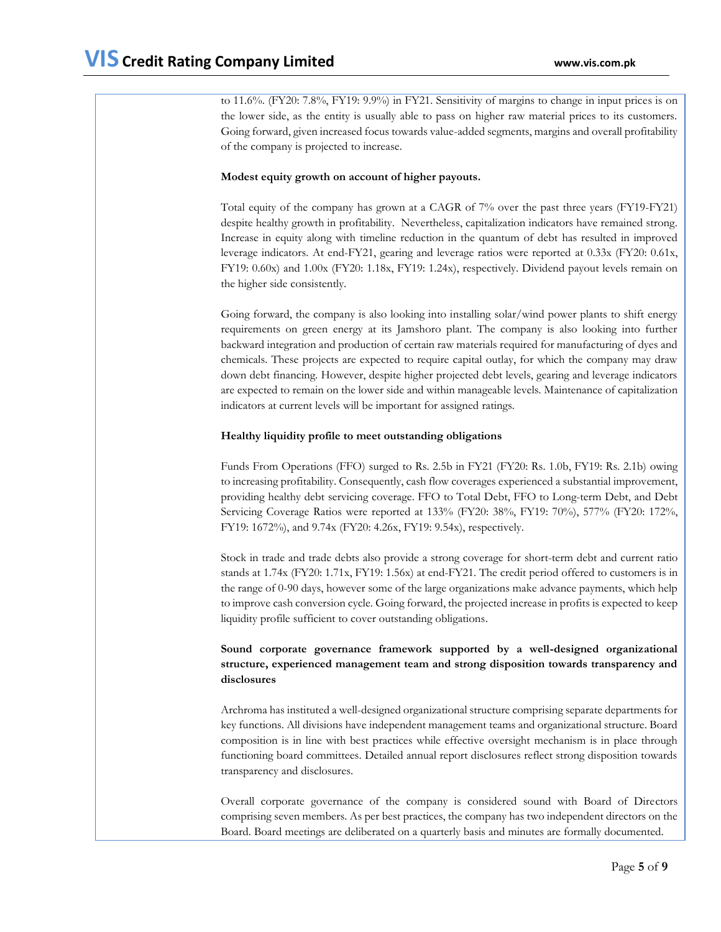to 11.6%. (FY20: 7.8%, FY19: 9.9%) in FY21. Sensitivity of margins to change in input prices is on the lower side, as the entity is usually able to pass on higher raw material prices to its customers. Going forward, given increased focus towards value-added segments, margins and overall profitability of the company is projected to increase.

#### **Modest equity growth on account of higher payouts.**

Total equity of the company has grown at a CAGR of 7% over the past three years (FY19-FY21) despite healthy growth in profitability. Nevertheless, capitalization indicators have remained strong. Increase in equity along with timeline reduction in the quantum of debt has resulted in improved leverage indicators. At end-FY21, gearing and leverage ratios were reported at 0.33x (FY20: 0.61x, FY19: 0.60x) and 1.00x (FY20: 1.18x, FY19: 1.24x), respectively. Dividend payout levels remain on the higher side consistently.

Going forward, the company is also looking into installing solar/wind power plants to shift energy requirements on green energy at its Jamshoro plant. The company is also looking into further backward integration and production of certain raw materials required for manufacturing of dyes and chemicals. These projects are expected to require capital outlay, for which the company may draw down debt financing. However, despite higher projected debt levels, gearing and leverage indicators are expected to remain on the lower side and within manageable levels. Maintenance of capitalization indicators at current levels will be important for assigned ratings.

### **Healthy liquidity profile to meet outstanding obligations**

Funds From Operations (FFO) surged to Rs. 2.5b in FY21 (FY20: Rs. 1.0b, FY19: Rs. 2.1b) owing to increasing profitability. Consequently, cash flow coverages experienced a substantial improvement, providing healthy debt servicing coverage. FFO to Total Debt, FFO to Long-term Debt, and Debt Servicing Coverage Ratios were reported at 133% (FY20: 38%, FY19: 70%), 577% (FY20: 172%, FY19: 1672%), and 9.74x (FY20: 4.26x, FY19: 9.54x), respectively.

Stock in trade and trade debts also provide a strong coverage for short-term debt and current ratio stands at 1.74x (FY20: 1.71x, FY19: 1.56x) at end-FY21. The credit period offered to customers is in the range of 0-90 days, however some of the large organizations make advance payments, which help to improve cash conversion cycle. Going forward, the projected increase in profits is expected to keep liquidity profile sufficient to cover outstanding obligations.

### **Sound corporate governance framework supported by a well-designed organizational structure, experienced management team and strong disposition towards transparency and disclosures**

Archroma has instituted a well-designed organizational structure comprising separate departments for key functions. All divisions have independent management teams and organizational structure. Board composition is in line with best practices while effective oversight mechanism is in place through functioning board committees. Detailed annual report disclosures reflect strong disposition towards transparency and disclosures.

Overall corporate governance of the company is considered sound with Board of Directors comprising seven members. As per best practices, the company has two independent directors on the Board. Board meetings are deliberated on a quarterly basis and minutes are formally documented.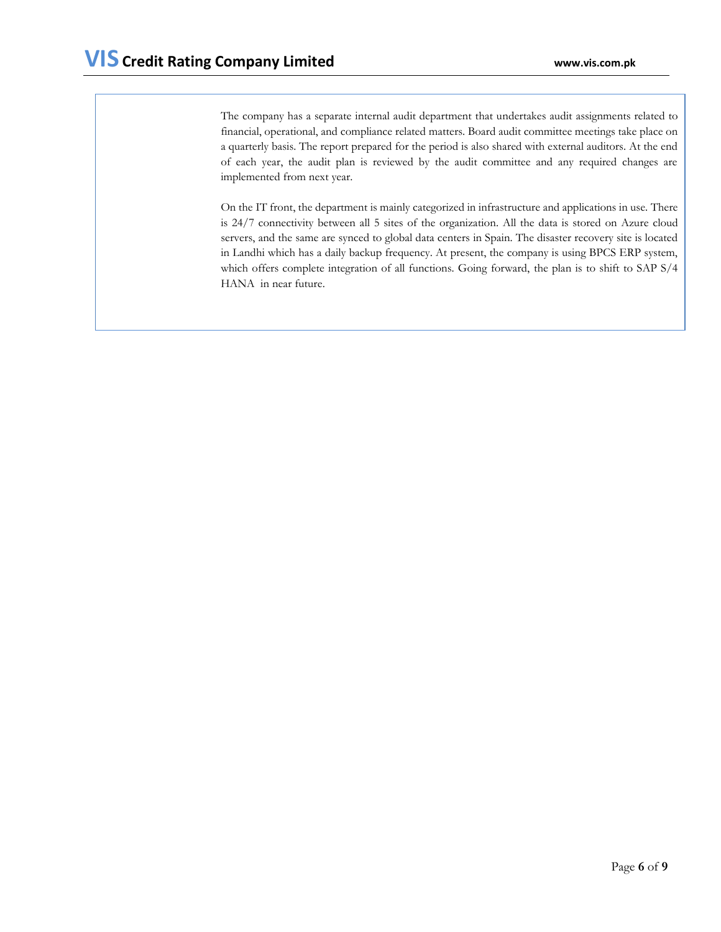The company has a separate internal audit department that undertakes audit assignments related to financial, operational, and compliance related matters. Board audit committee meetings take place on a quarterly basis. The report prepared for the period is also shared with external auditors. At the end of each year, the audit plan is reviewed by the audit committee and any required changes are implemented from next year.

On the IT front, the department is mainly categorized in infrastructure and applications in use. There is 24/7 connectivity between all 5 sites of the organization. All the data is stored on Azure cloud servers, and the same are synced to global data centers in Spain. The disaster recovery site is located in Landhi which has a daily backup frequency. At present, the company is using BPCS ERP system, which offers complete integration of all functions. Going forward, the plan is to shift to SAP S/4 HANA in near future.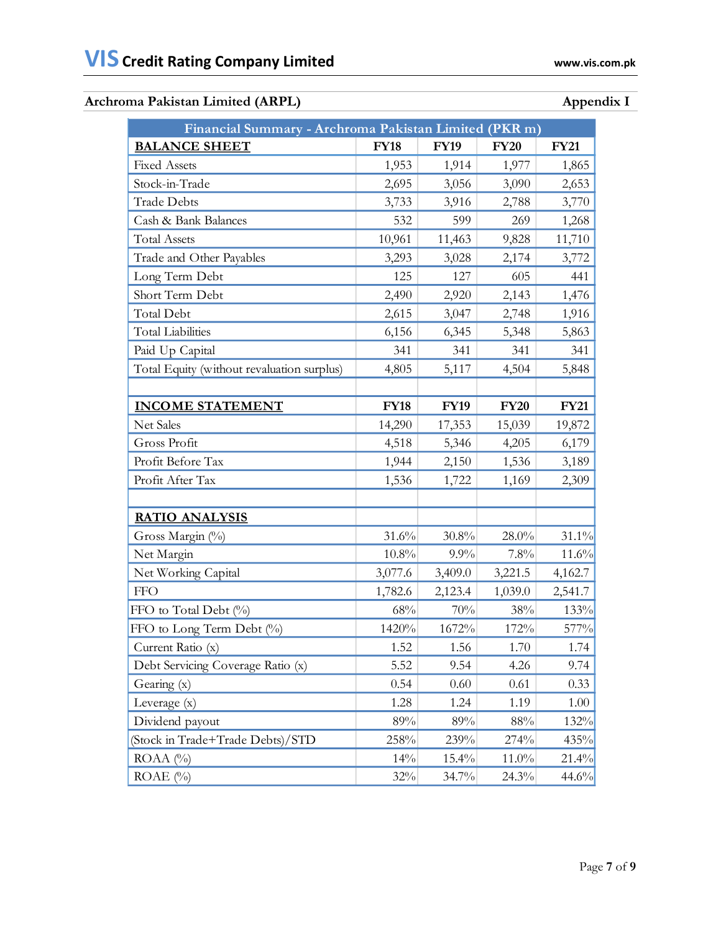## Archroma Pakistan Limited (ARPL) **Appendix I**

| Financial Summary - Archroma Pakistan Limited (PKR m) |             |             |             |             |  |
|-------------------------------------------------------|-------------|-------------|-------------|-------------|--|
| <b>BALANCE SHEET</b>                                  | <b>FY18</b> | <b>FY19</b> | <b>FY20</b> | <b>FY21</b> |  |
| <b>Fixed Assets</b>                                   | 1,953       | 1,914       | 1,977       | 1,865       |  |
| Stock-in-Trade                                        | 2,695       | 3,056       | 3,090       | 2,653       |  |
| <b>Trade Debts</b>                                    | 3,733       | 3,916       | 2,788       | 3,770       |  |
| Cash & Bank Balances                                  | 532         | 599         | 269         | 1,268       |  |
| <b>Total Assets</b>                                   | 10,961      | 11,463      | 9,828       | 11,710      |  |
| Trade and Other Payables                              | 3,293       | 3,028       | 2,174       | 3,772       |  |
| Long Term Debt                                        | 125         | 127         | 605         | 441         |  |
| Short Term Debt                                       | 2,490       | 2,920       | 2,143       | 1,476       |  |
| Total Debt                                            | 2,615       | 3,047       | 2,748       | 1,916       |  |
| <b>Total Liabilities</b>                              | 6,156       | 6,345       | 5,348       | 5,863       |  |
| Paid Up Capital                                       | 341         | 341         | 341         | 341         |  |
| Total Equity (without revaluation surplus)            | 4,805       | 5,117       | 4,504       | 5,848       |  |
|                                                       |             |             |             |             |  |
| <b>INCOME STATEMENT</b>                               | <b>FY18</b> | <b>FY19</b> | <b>FY20</b> | <b>FY21</b> |  |
| Net Sales                                             | 14,290      | 17,353      | 15,039      | 19,872      |  |
| Gross Profit                                          | 4,518       | 5,346       | 4,205       | 6,179       |  |
| Profit Before Tax                                     | 1,944       | 2,150       | 1,536       | 3,189       |  |
| Profit After Tax                                      | 1,536       | 1,722       | 1,169       | 2,309       |  |
|                                                       |             |             |             |             |  |
| <b>RATIO ANALYSIS</b>                                 |             |             |             |             |  |
| Gross Margin (%)                                      | 31.6%       | $30.8\%$    | $28.0\%$    | 31.1%       |  |
| Net Margin                                            | 10.8%       | $9.9\%$     | 7.8%        | 11.6%       |  |
| Net Working Capital                                   | 3,077.6     | 3,409.0     | 3,221.5     | 4,162.7     |  |
| <b>FFO</b>                                            | 1,782.6     | 2,123.4     | 1,039.0     | 2,541.7     |  |
| FFO to Total Debt (%)                                 | $68\%$      | 70%         | 38%         | 133%        |  |
| FFO to Long Term Debt (%)                             | 1420%       | 1672%       | 172%        | 577%        |  |
| Current Ratio (x)                                     | 1.52        | 1.56        | $1.70\,$    | 1.74        |  |
| Debt Servicing Coverage Ratio (x)                     | 5.52        | 9.54        | 4.26        | 9.74        |  |
| Gearing (x)                                           | 0.54        | 0.60        | 0.61        | 0.33        |  |
| Leverage (x)                                          | 1.28        | 1.24        | 1.19        | 1.00        |  |
| Dividend payout                                       | 89%         | 89%         | 88%         | 132%        |  |
| (Stock in Trade+Trade Debts)/STD                      | 258%        | 239%        | 274%        | 435%        |  |
| $ROAA (\%)$                                           | 14%         | 15.4%       | 11.0%       | 21.4%       |  |
| $ROAE$ (%)                                            | 32%         | 34.7%       | 24.3%       | 44.6%       |  |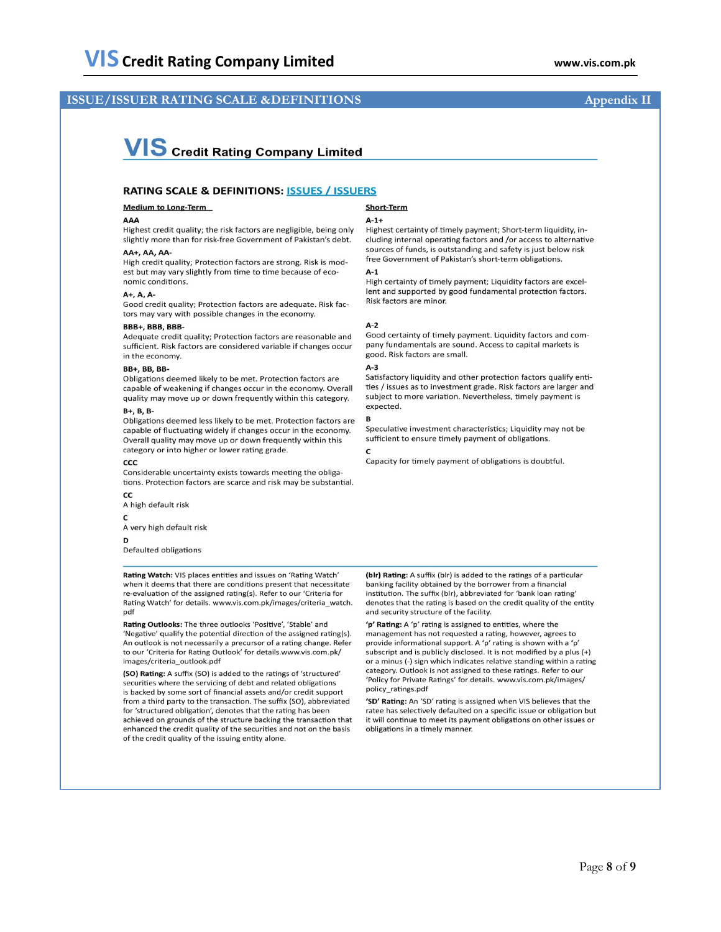### **ISSUE/ISSUER RATING SCALE &DEFINITIONS** Appendix II

# **VIS** Credit Rating Company Limited

#### **RATING SCALE & DEFINITIONS: ISSUES / ISSUERS**

#### **Medium to Long-Term**

#### AAA

Highest credit quality; the risk factors are negligible, being only slightly more than for risk-free Government of Pakistan's debt.

#### AA+, AA, AA-

High credit quality: Protection factors are strong. Risk is modest but may vary slightly from time to time because of economic conditions.

#### $A+$ .  $A$ .  $A-$

Good credit quality; Protection factors are adequate. Risk factors may vary with possible changes in the economy.

#### BBB+, BBB, BBB-

Adequate credit quality; Protection factors are reasonable and sufficient. Risk factors are considered variable if changes occur in the economy.

#### **BB+, BB, BB-**

Obligations deemed likely to be met. Protection factors are capable of weakening if changes occur in the economy. Overall quality may move up or down frequently within this category.

#### $B+$ ,  $B$ ,  $B-$

Obligations deemed less likely to be met. Protection factors are capable of fluctuating widely if changes occur in the economy. Overall quality may move up or down frequently within this category or into higher or lower rating grade.

#### CCC

Considerable uncertainty exists towards meeting the obligations. Protection factors are scarce and risk may be substantial.

CC A high default risk

 $\mathbf{C}$ A very high default risk

D

Defaulted obligations

Rating Watch: VIS places entities and issues on 'Rating Watch' when it deems that there are conditions present that necessitate re-evaluation of the assigned rating(s). Refer to our 'Criteria for Rating Watch' for details. www.vis.com.pk/images/criteria\_watch. pdf

Rating Outlooks: The three outlooks 'Positive', 'Stable' and 'Negative' qualify the potential direction of the assigned rating(s). An outlook is not necessarily a precursor of a rating change. Refer to our 'Criteria for Rating Outlook' for details.www.vis.com.pk/ images/criteria\_outlook.pdf

(SO) Rating: A suffix (SO) is added to the ratings of 'structured' securities where the servicing of debt and related obligations is backed by some sort of financial assets and/or credit support from a third party to the transaction. The suffix (SO), abbreviated for 'structured obligation', denotes that the rating has been achieved on grounds of the structure backing the transaction that enhanced the credit quality of the securities and not on the basis of the credit quality of the issuing entity alone.

## Short-Term

#### $A-1+$

Highest certainty of timely payment; Short-term liquidity, including internal operating factors and /or access to alternative sources of funds, is outstanding and safety is just below risk free Government of Pakistan's short-term obligations.

#### $A-1$

High certainty of timely payment; Liquidity factors are excellent and supported by good fundamental protection factors. Risk factors are minor.

#### $A-2$

Good certainty of timely payment. Liquidity factors and company fundamentals are sound. Access to capital markets is good. Risk factors are small.

#### $A-3$

Satisfactory liquidity and other protection factors qualify entities / issues as to investment grade. Risk factors are larger and subject to more variation. Nevertheless, timely payment is expected.

#### B

Speculative investment characteristics; Liquidity may not be sufficient to ensure timely payment of obligations.  $\epsilon$ 

Capacity for timely payment of obligations is doubtful.

(blr) Rating: A suffix (blr) is added to the ratings of a particular banking facility obtained by the borrower from a financial institution. The suffix (blr), abbreviated for 'bank loan rating' denotes that the rating is based on the credit quality of the entity and security structure of the facility.

'p' Rating: A 'p' rating is assigned to entities, where the management has not requested a rating, however, agrees to provide informational support. A 'p' rating is shown with a 'p' subscript and is publicly disclosed. It is not modified by a plus (+) or a minus (-) sign which indicates relative standing within a rating category. Outlook is not assigned to these ratings. Refer to our 'Policy for Private Ratings' for details. www.vis.com.pk/images/ policy\_ratings.pdf

'SD' Rating: An 'SD' rating is assigned when VIS believes that the ratee has selectively defaulted on a specific issue or obligation but it will continue to meet its payment obligations on other issues or obligations in a timely manner.